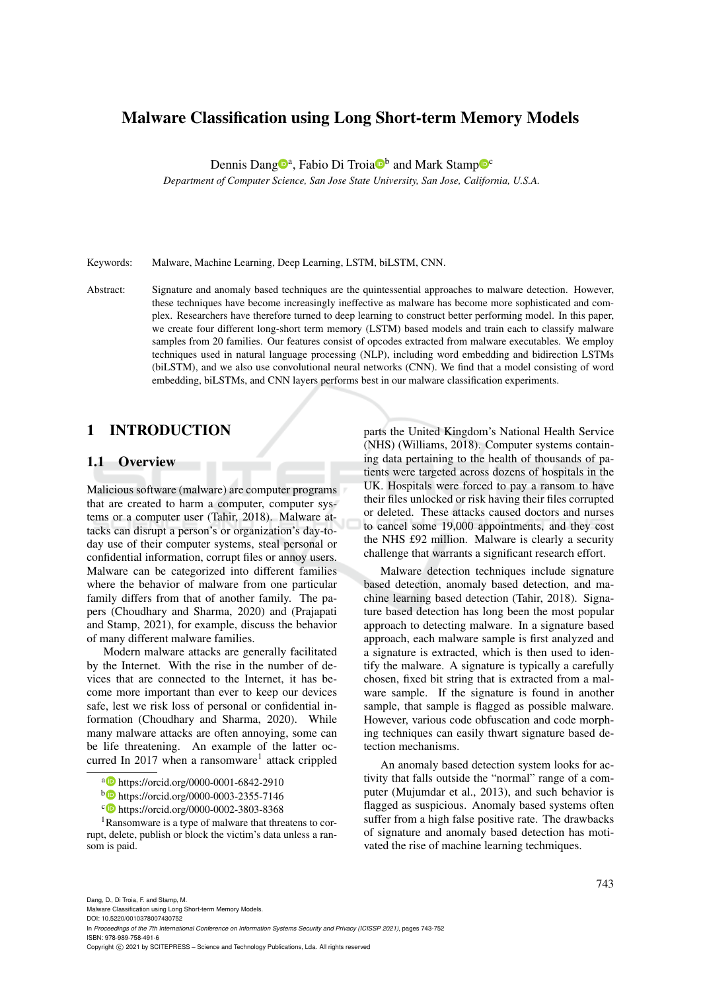# Malware Classification using Long Short-term Memory Models

Dennis Dang<sup>1</sup>, Fabio Di Troia<sup>n</sup> and Mark Stamp<sup>n</sup>

*Department of Computer Science, San Jose State University, San Jose, California, U.S.A.*

Keywords: Malware, Machine Learning, Deep Learning, LSTM, biLSTM, CNN.

Abstract: Signature and anomaly based techniques are the quintessential approaches to malware detection. However, these techniques have become increasingly ineffective as malware has become more sophisticated and complex. Researchers have therefore turned to deep learning to construct better performing model. In this paper, we create four different long-short term memory (LSTM) based models and train each to classify malware samples from 20 families. Our features consist of opcodes extracted from malware executables. We employ techniques used in natural language processing (NLP), including word embedding and bidirection LSTMs (biLSTM), and we also use convolutional neural networks (CNN). We find that a model consisting of word embedding, biLSTMs, and CNN layers performs best in our malware classification experiments.

# 1 INTRODUCTION

#### 1.1 Overview

Malicious software (malware) are computer programs that are created to harm a computer, computer systems or a computer user (Tahir, 2018). Malware attacks can disrupt a person's or organization's day-today use of their computer systems, steal personal or confidential information, corrupt files or annoy users. Malware can be categorized into different families where the behavior of malware from one particular family differs from that of another family. The papers (Choudhary and Sharma, 2020) and (Prajapati and Stamp, 2021), for example, discuss the behavior of many different malware families.

Modern malware attacks are generally facilitated by the Internet. With the rise in the number of devices that are connected to the Internet, it has become more important than ever to keep our devices safe, lest we risk loss of personal or confidential information (Choudhary and Sharma, 2020). While many malware attacks are often annoying, some can be life threatening. An example of the latter occurred In 2017 when a ransomware<sup>1</sup> attack crippled

<sup>b</sup> https://orcid.org/0000-0003-2355-7146

<sup>1</sup>Ransomware is a type of malware that threatens to corrupt, delete, publish or block the victim's data unless a ransom is paid.

parts the United Kingdom's National Health Service (NHS) (Williams, 2018). Computer systems containing data pertaining to the health of thousands of patients were targeted across dozens of hospitals in the UK. Hospitals were forced to pay a ransom to have their files unlocked or risk having their files corrupted or deleted. These attacks caused doctors and nurses to cancel some 19,000 appointments, and they cost the NHS £92 million. Malware is clearly a security challenge that warrants a significant research effort.

Malware detection techniques include signature based detection, anomaly based detection, and machine learning based detection (Tahir, 2018). Signature based detection has long been the most popular approach to detecting malware. In a signature based approach, each malware sample is first analyzed and a signature is extracted, which is then used to identify the malware. A signature is typically a carefully chosen, fixed bit string that is extracted from a malware sample. If the signature is found in another sample, that sample is flagged as possible malware. However, various code obfuscation and code morphing techniques can easily thwart signature based detection mechanisms.

An anomaly based detection system looks for activity that falls outside the "normal" range of a computer (Mujumdar et al., 2013), and such behavior is flagged as suspicious. Anomaly based systems often suffer from a high false positive rate. The drawbacks of signature and anomaly based detection has motivated the rise of machine learning techmiques.

Dang, D., Di Troia, F. and Stamp, M.

Malware Classification using Long Short-term Memory Models. DOI: 10.5220/0010378007430752

In *Proceedings of the 7th International Conference on Information Systems Security and Privacy (ICISSP 2021)*, pages 743-752 ISBN: 978-989-758-491-6

Copyright © 2021 by SCITEPRESS - Science and Technology Publications, Lda. All rights reserved

a https://orcid.org/0000-0001-6842-2910

c https://orcid.org/0000-0002-3803-8368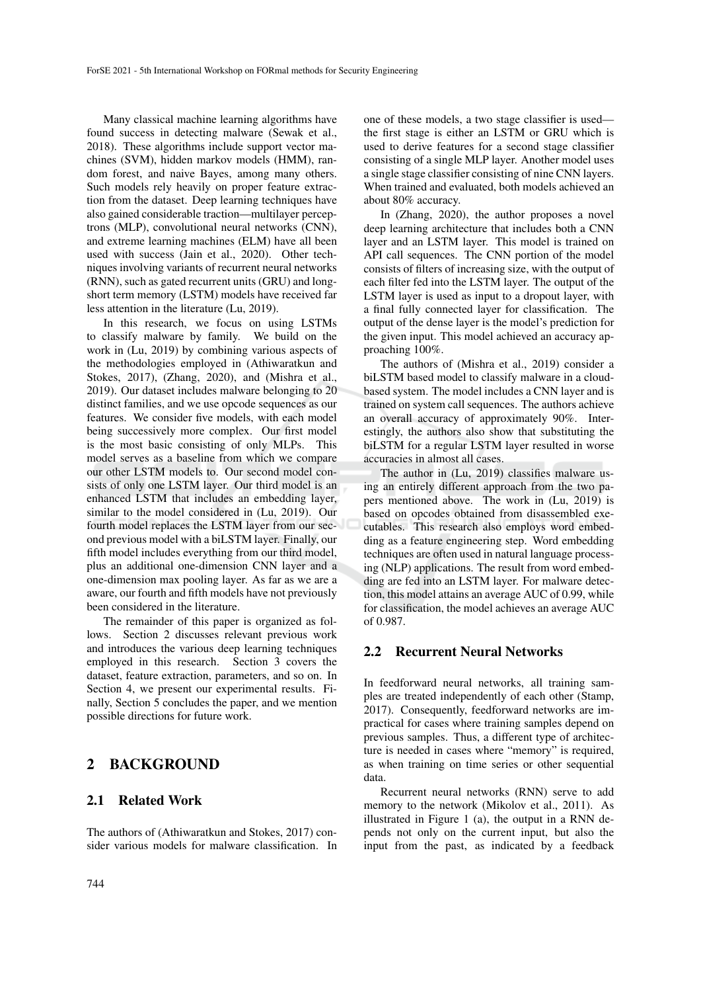Many classical machine learning algorithms have found success in detecting malware (Sewak et al., 2018). These algorithms include support vector machines (SVM), hidden markov models (HMM), random forest, and naive Bayes, among many others. Such models rely heavily on proper feature extraction from the dataset. Deep learning techniques have also gained considerable traction—multilayer perceptrons (MLP), convolutional neural networks (CNN), and extreme learning machines (ELM) have all been used with success (Jain et al., 2020). Other techniques involving variants of recurrent neural networks (RNN), such as gated recurrent units (GRU) and longshort term memory (LSTM) models have received far less attention in the literature (Lu, 2019).

In this research, we focus on using LSTMs to classify malware by family. We build on the work in (Lu, 2019) by combining various aspects of the methodologies employed in (Athiwaratkun and Stokes, 2017), (Zhang, 2020), and (Mishra et al., 2019). Our dataset includes malware belonging to 20 distinct families, and we use opcode sequences as our features. We consider five models, with each model being successively more complex. Our first model is the most basic consisting of only MLPs. This model serves as a baseline from which we compare our other LSTM models to. Our second model consists of only one LSTM layer. Our third model is an enhanced LSTM that includes an embedding layer, similar to the model considered in (Lu, 2019). Our fourth model replaces the LSTM layer from our second previous model with a biLSTM layer. Finally, our fifth model includes everything from our third model, plus an additional one-dimension CNN layer and a one-dimension max pooling layer. As far as we are a aware, our fourth and fifth models have not previously been considered in the literature.

The remainder of this paper is organized as follows. Section 2 discusses relevant previous work and introduces the various deep learning techniques employed in this research. Section 3 covers the dataset, feature extraction, parameters, and so on. In Section 4, we present our experimental results. Finally, Section 5 concludes the paper, and we mention possible directions for future work.

# 2 BACKGROUND

#### 2.1 Related Work

The authors of (Athiwaratkun and Stokes, 2017) consider various models for malware classification. In one of these models, a two stage classifier is used the first stage is either an LSTM or GRU which is used to derive features for a second stage classifier consisting of a single MLP layer. Another model uses a single stage classifier consisting of nine CNN layers. When trained and evaluated, both models achieved an about 80% accuracy.

In (Zhang, 2020), the author proposes a novel deep learning architecture that includes both a CNN layer and an LSTM layer. This model is trained on API call sequences. The CNN portion of the model consists of filters of increasing size, with the output of each filter fed into the LSTM layer. The output of the LSTM layer is used as input to a dropout layer, with a final fully connected layer for classification. The output of the dense layer is the model's prediction for the given input. This model achieved an accuracy approaching 100%.

The authors of (Mishra et al., 2019) consider a biLSTM based model to classify malware in a cloudbased system. The model includes a CNN layer and is trained on system call sequences. The authors achieve an overall accuracy of approximately 90%. Interestingly, the authors also show that substituting the biLSTM for a regular LSTM layer resulted in worse accuracies in almost all cases.

The author in (Lu, 2019) classifies malware using an entirely different approach from the two papers mentioned above. The work in (Lu, 2019) is based on opcodes obtained from disassembled executables. This research also employs word embedding as a feature engineering step. Word embedding techniques are often used in natural language processing (NLP) applications. The result from word embedding are fed into an LSTM layer. For malware detection, this model attains an average AUC of 0.99, while for classification, the model achieves an average AUC of 0.987.

### 2.2 Recurrent Neural Networks

In feedforward neural networks, all training samples are treated independently of each other (Stamp, 2017). Consequently, feedforward networks are impractical for cases where training samples depend on previous samples. Thus, a different type of architecture is needed in cases where "memory" is required, as when training on time series or other sequential data.

Recurrent neural networks (RNN) serve to add memory to the network (Mikolov et al., 2011). As illustrated in Figure 1 (a), the output in a RNN depends not only on the current input, but also the input from the past, as indicated by a feedback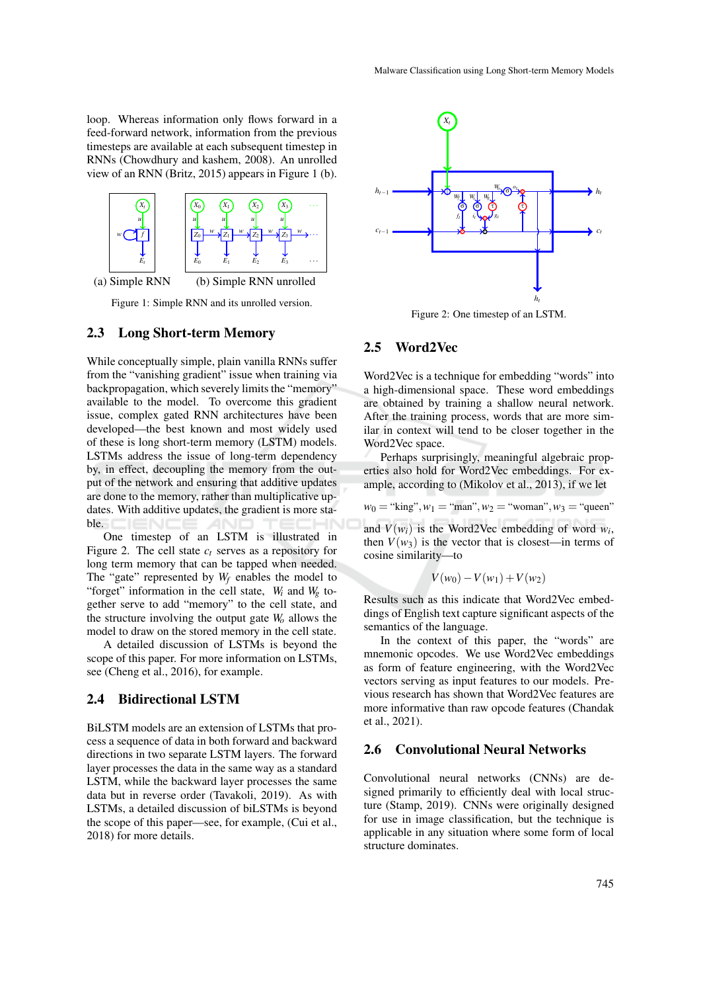loop. Whereas information only flows forward in a feed-forward network, information from the previous timesteps are available at each subsequent timestep in RNNs (Chowdhury and kashem, 2008). An unrolled view of an RNN (Britz, 2015) appears in Figure 1 (b).



Figure 1: Simple RNN and its unrolled version.

#### 2.3 Long Short-term Memory

While conceptually simple, plain vanilla RNNs suffer from the "vanishing gradient" issue when training via backpropagation, which severely limits the "memory" available to the model. To overcome this gradient issue, complex gated RNN architectures have been developed—the best known and most widely used of these is long short-term memory (LSTM) models. LSTMs address the issue of long-term dependency by, in effect, decoupling the memory from the output of the network and ensuring that additive updates are done to the memory, rather than multiplicative updates. With additive updates, the gradient is more stable.

One timestep of an LSTM is illustrated in Figure 2. The cell state  $c<sub>t</sub>$  serves as a repository for long term memory that can be tapped when needed. The "gate" represented by *W<sup>f</sup>* enables the model to "forget" information in the cell state, *W<sup>i</sup>* and *W<sup>g</sup>* together serve to add "memory" to the cell state, and the structure involving the output gate *W<sup>o</sup>* allows the model to draw on the stored memory in the cell state.

A detailed discussion of LSTMs is beyond the scope of this paper. For more information on LSTMs, see (Cheng et al., 2016), for example.

### 2.4 Bidirectional LSTM

BiLSTM models are an extension of LSTMs that process a sequence of data in both forward and backward directions in two separate LSTM layers. The forward layer processes the data in the same way as a standard LSTM, while the backward layer processes the same data but in reverse order (Tavakoli, 2019). As with LSTMs, a detailed discussion of biLSTMs is beyond the scope of this paper—see, for example, (Cui et al., 2018) for more details.



Figure 2: One timestep of an LSTM.

#### 2.5 Word2Vec

Word2Vec is a technique for embedding "words" into a high-dimensional space. These word embeddings are obtained by training a shallow neural network. After the training process, words that are more similar in context will tend to be closer together in the Word2Vec space.

Perhaps surprisingly, meaningful algebraic properties also hold for Word2Vec embeddings. For example, according to (Mikolov et al., 2013), if we let

 $w_0$  = "king",  $w_1$  = "man",  $w_2$  = "woman",  $w_3$  = "queen"

and  $V(w_i)$  is the Word2Vec embedding of word  $w_i$ , then  $V(w_3)$  is the vector that is closest—in terms of cosine similarity—to

$$
V(w_0) - V(w_1) + V(w_2)
$$

Results such as this indicate that Word2Vec embeddings of English text capture significant aspects of the semantics of the language.

In the context of this paper, the "words" are mnemonic opcodes. We use Word2Vec embeddings as form of feature engineering, with the Word2Vec vectors serving as input features to our models. Previous research has shown that Word2Vec features are more informative than raw opcode features (Chandak et al., 2021).

#### 2.6 Convolutional Neural Networks

Convolutional neural networks (CNNs) are designed primarily to efficiently deal with local structure (Stamp, 2019). CNNs were originally designed for use in image classification, but the technique is applicable in any situation where some form of local structure dominates.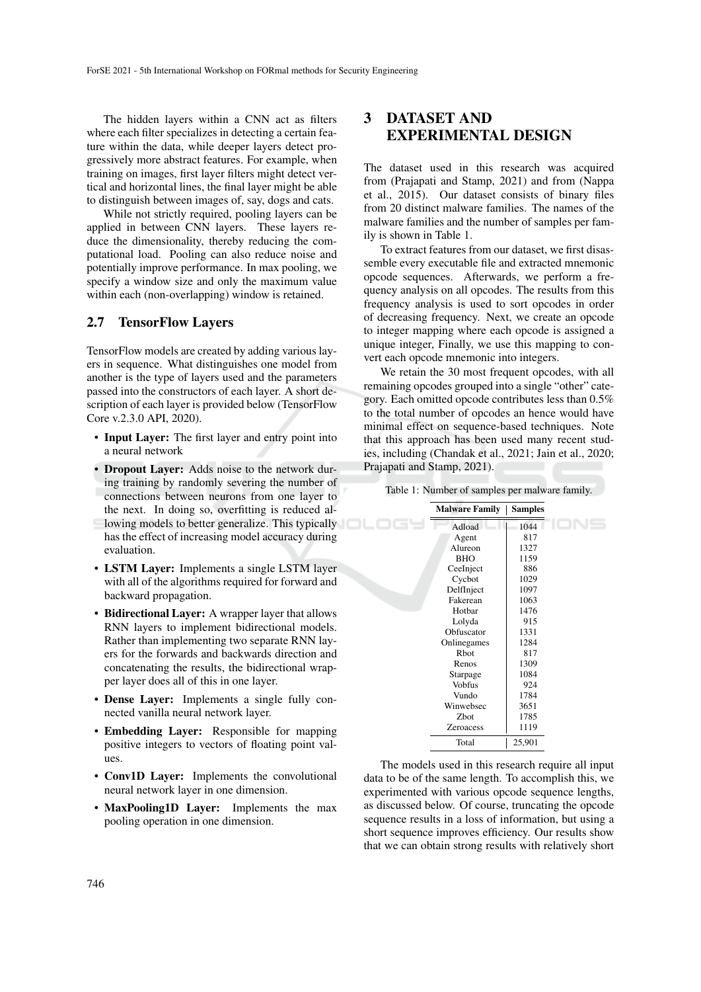The hidden layers within a CNN act as filters where each filter specializes in detecting a certain feature within the data, while deeper layers detect progressively more abstract features. For example, when training on images, first layer filters might detect vertical and horizontal lines, the final layer might be able to distinguish between images of, say, dogs and cats.

While not strictly required, pooling layers can be applied in between CNN layers. These layers reduce the dimensionality, thereby reducing the computational load. Pooling can also reduce noise and potentially improve performance. In max pooling, we specify a window size and only the maximum value within each (non-overlapping) window is retained.

## 2.7 TensorFlow Layers

TensorFlow models are created by adding various layers in sequence. What distinguishes one model from another is the type of layers used and the parameters passed into the constructors of each layer. A short description of each layer is provided below (TensorFlow Core v.2.3.0 API, 2020).

- Input Layer: The first layer and entry point into a neural network
- **Dropout Layer:** Adds noise to the network during training by randomly severing the number of connections between neurons from one layer to the next. In doing so, overfitting is reduced al-
- lowing models to better generalize. This typically has the effect of increasing model accuracy during evaluation.
- LSTM Layer: Implements a single LSTM layer with all of the algorithms required for forward and backward propagation.
- Bidirectional Layer: A wrapper layer that allows RNN layers to implement bidirectional models. Rather than implementing two separate RNN layers for the forwards and backwards direction and concatenating the results, the bidirectional wrapper layer does all of this in one layer.
- **Dense Layer:** Implements a single fully connected vanilla neural network layer.
- Embedding Layer: Responsible for mapping positive integers to vectors of floating point values.
- Conv1D Layer: Implements the convolutional neural network layer in one dimension.
- MaxPooling1D Layer: Implements the max pooling operation in one dimension.

# 3 DATASET AND EXPERIMENTAL DESIGN

The dataset used in this research was acquired from (Prajapati and Stamp, 2021) and from (Nappa et al., 2015). Our dataset consists of binary files from 20 distinct malware families. The names of the malware families and the number of samples per family is shown in Table 1.

To extract features from our dataset, we first disassemble every executable file and extracted mnemonic opcode sequences. Afterwards, we perform a frequency analysis on all opcodes. The results from this frequency analysis is used to sort opcodes in order of decreasing frequency. Next, we create an opcode to integer mapping where each opcode is assigned a unique integer, Finally, we use this mapping to convert each opcode mnemonic into integers.

We retain the 30 most frequent opcodes, with all remaining opcodes grouped into a single "other" category. Each omitted opcode contributes less than 0.5% to the total number of opcodes an hence would have minimal effect on sequence-based techniques. Note that this approach has been used many recent studies, including (Chandak et al., 2021; Jain et al., 2020; Prajapati and Stamp, 2021).

Table 1: Number of samples per malware family.

| <b>Malware Family</b> | <b>Samples</b> |
|-----------------------|----------------|
| Adload                | 1044           |
| Agent                 | 817            |
| Alureon               | 1327           |
| <b>BHO</b>            | 1159           |
| CeeInject             | 886            |
| Cycbot                | 1029           |
| DelfInject            | 1097           |
| Fakerean              | 1063           |
| Hotbar                | 1476           |
| Lolyda                | 915            |
| Obfuscator            | 1331           |
| Onlinegames           | 1284           |
| <b>R</b> bot          | 817            |
| Renos                 | 1309           |
| Starpage              | 1084           |
| <b>Vobfus</b>         | 924            |
| Vundo                 | 1784           |
| Winwebsec             | 3651           |
| Zbot                  | 1785           |
| <b>Zeroacess</b>      | 1119           |
| Total                 | 25,901         |

The models used in this research require all input data to be of the same length. To accomplish this, we experimented with various opcode sequence lengths, as discussed below. Of course, truncating the opcode sequence results in a loss of information, but using a short sequence improves efficiency. Our results show that we can obtain strong results with relatively short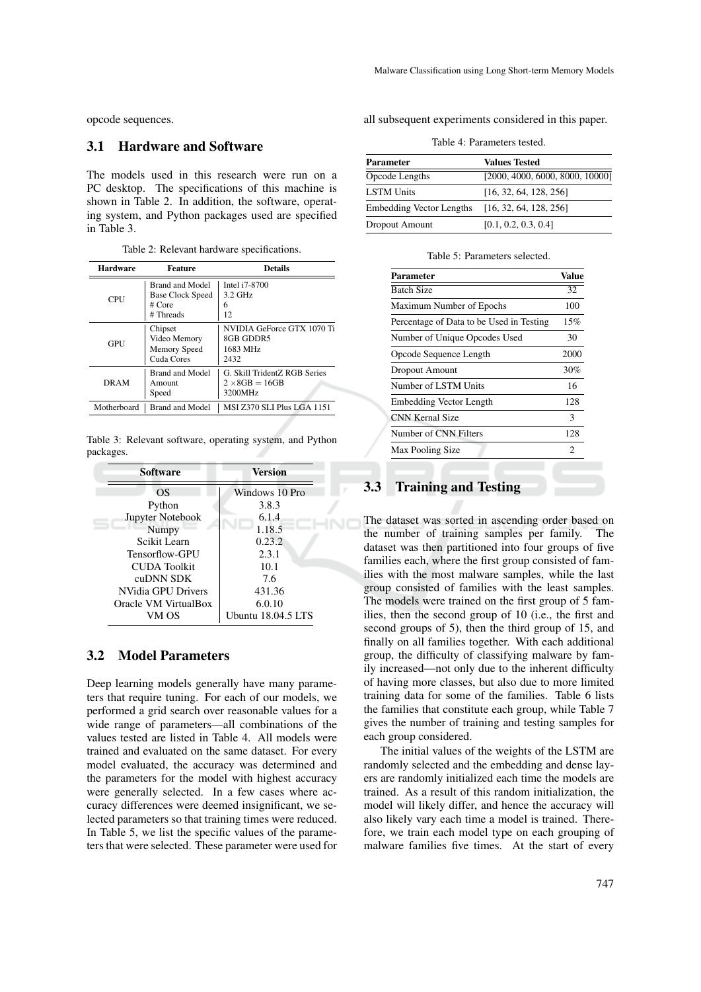opcode sequences.

## 3.1 Hardware and Software

The models used in this research were run on a PC desktop. The specifications of this machine is shown in Table 2. In addition, the software, operating system, and Python packages used are specified in Table 3.

Table 2: Relevant hardware specifications.

| <b>Hardware</b> | <b>Feature</b>                                                    | <b>Details</b>                                                    |
|-----------------|-------------------------------------------------------------------|-------------------------------------------------------------------|
| CPU             | Brand and Model<br><b>Base Clock Speed</b><br># Core<br># Threads | Intel i7-8700<br>$3.2$ GHz<br>6<br>12                             |
| GPU             | Chipset<br>Video Memory<br>Memory Speed<br>Cuda Cores             | NVIDIA GeForce GTX 1070 Ti<br>8GB GDDR5<br>1683 MHz<br>2432       |
| DRAM            | <b>Brand and Model</b><br>Amount<br>Speed                         | G. Skill TridentZ RGB Series<br>$2 \times 8$ GB = 16GB<br>3200MHz |
| Motherboard     | <b>Brand and Model</b>                                            | <b>MSI Z370 SLI Plus LGA 1151</b>                                 |

Table 3: Relevant software, operating system, and Python packages.

| <b>Software</b>      | Version            |
|----------------------|--------------------|
| OS                   | Windows 10 Pro     |
| Python               | 3.8.3              |
| Jupyter Notebook     | 6.1.4              |
| Numpy                | 1.18.5             |
| Scikit Learn         | 0.23.2             |
| Tensorflow-GPU       | 2.3.1              |
| CUDA Toolkit         | 10.1               |
| <b>CHDNN SDK</b>     | 7.6                |
| NVidia GPU Drivers   | 431.36             |
| Oracle VM VirtualBox | 6.0.10             |
| VM OS                | Ubuntu 18.04.5 LTS |

### 3.2 Model Parameters

Deep learning models generally have many parameters that require tuning. For each of our models, we performed a grid search over reasonable values for a wide range of parameters—all combinations of the values tested are listed in Table 4. All models were trained and evaluated on the same dataset. For every model evaluated, the accuracy was determined and the parameters for the model with highest accuracy were generally selected. In a few cases where accuracy differences were deemed insignificant, we selected parameters so that training times were reduced. In Table 5, we list the specific values of the parameters that were selected. These parameter were used for

all subsequent experiments considered in this paper.

Table 4: Parameters tested.

| Parameter                       | <b>Values Tested</b>            |
|---------------------------------|---------------------------------|
| Opcode Lengths                  | [2000, 4000, 6000, 8000, 10000] |
| <b>LSTM Units</b>               | [16, 32, 64, 128, 256]          |
| <b>Embedding Vector Lengths</b> | [16, 32, 64, 128, 256]          |
| Dropout Amount                  | [0.1, 0.2, 0.3, 0.4]            |

| Parameter                                | Value |
|------------------------------------------|-------|
| <b>Batch Size</b>                        | 32    |
| Maximum Number of Epochs                 | 100   |
| Percentage of Data to be Used in Testing | 15%   |
| Number of Unique Opcodes Used            | 30    |
| Opcode Sequence Length                   | 2000  |
| <b>Dropout Amount</b>                    | 30%   |
| Number of LSTM Units                     | 16    |
| Embedding Vector Length                  | 128   |
| <b>CNN Kernal Size</b>                   | 3     |
| Number of CNN Filters                    | 128   |
| Max Pooling Size                         | 2     |

# 3.3 Training and Testing

The dataset was sorted in ascending order based on the number of training samples per family. The dataset was then partitioned into four groups of five families each, where the first group consisted of families with the most malware samples, while the last group consisted of families with the least samples. The models were trained on the first group of 5 families, then the second group of 10 (i.e., the first and second groups of 5), then the third group of 15, and finally on all families together. With each additional group, the difficulty of classifying malware by family increased—not only due to the inherent difficulty of having more classes, but also due to more limited training data for some of the families. Table 6 lists the families that constitute each group, while Table 7 gives the number of training and testing samples for each group considered.

The initial values of the weights of the LSTM are randomly selected and the embedding and dense layers are randomly initialized each time the models are trained. As a result of this random initialization, the model will likely differ, and hence the accuracy will also likely vary each time a model is trained. Therefore, we train each model type on each grouping of malware families five times. At the start of every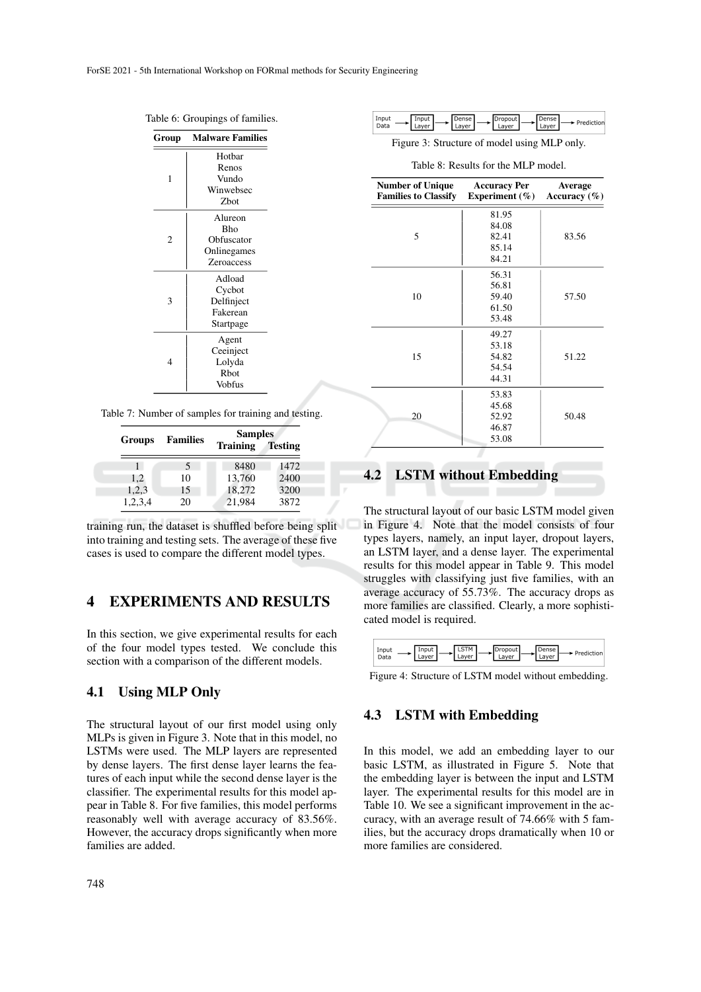Table 6: Groupings of families.

| Group | <b>Malware Families</b> |
|-------|-------------------------|
|       | Hotbar                  |
|       | Renos                   |
| 1     | Vundo                   |
|       | Winwebsec               |
|       | Zbot                    |
|       | Alureon                 |
|       | <b>Bho</b>              |
| 2     | Obfuscator              |
|       | Onlinegames             |
|       | Zeroaccess              |
|       | Adload                  |
|       | Cycbot                  |
| 3     | Delfinject              |
|       | Fakerean                |
|       | Startpage               |
|       | Agent                   |
|       | Ceeinject               |
| 4     | Lolyda                  |
|       | Rbot                    |
|       | Vobfus                  |

Table 7: Number of samples for training and testing.

|               |                 | <b>Samples</b>  |                |
|---------------|-----------------|-----------------|----------------|
| <b>Groups</b> | <b>Families</b> | <b>Training</b> | <b>Testing</b> |
|               | 5               | 8480            | 1472           |
| 1,2           | 10              | 13,760          | 2400           |
| 1,2,3         | 15              | 18,272          | 3200           |
| 1,2,3,4       | 20              | 21,984          | 3872           |

training run, the dataset is shuffled before being split into training and testing sets. The average of these five cases is used to compare the different model types.

# 4 EXPERIMENTS AND RESULTS

In this section, we give experimental results for each of the four model types tested. We conclude this section with a comparison of the different models.

## 4.1 Using MLP Only

The structural layout of our first model using only MLPs is given in Figure 3. Note that in this model, no LSTMs were used. The MLP layers are represented by dense layers. The first dense layer learns the features of each input while the second dense layer is the classifier. The experimental results for this model appear in Table 8. For five families, this model performs reasonably well with average accuracy of 83.56%. However, the accuracy drops significantly when more families are added.

| $ -$<br>.<br>ιd<br>. .<br>w |  |
|-----------------------------|--|
|-----------------------------|--|

Figure 3: Structure of model using MLP only.

Table 8: Results for the MLP model.

| <b>Number of Unique</b><br><b>Families to Classify</b> | <b>Accuracy Per</b><br>Experiment $(\% )$ | <b>Average</b><br>Accuracy $(\% )$ |
|--------------------------------------------------------|-------------------------------------------|------------------------------------|
|                                                        | 81.95                                     |                                    |
|                                                        | 84.08                                     |                                    |
| 5                                                      | 82.41                                     | 83.56                              |
|                                                        | 85.14                                     |                                    |
|                                                        | 84.21                                     |                                    |
|                                                        | 56.31                                     |                                    |
|                                                        | 56.81                                     |                                    |
| 10                                                     | 59.40                                     | 57.50                              |
|                                                        | 61.50                                     |                                    |
|                                                        | 53.48                                     |                                    |
|                                                        | 49.27                                     |                                    |
|                                                        | 53.18                                     |                                    |
| 15                                                     | 54.82                                     | 51.22                              |
|                                                        | 54.54                                     |                                    |
|                                                        | 44.31                                     |                                    |
|                                                        | 53.83                                     |                                    |
|                                                        | 45.68                                     |                                    |
| 20                                                     | 52.92                                     | 50.48                              |
|                                                        | 46.87                                     |                                    |
|                                                        | 53.08                                     |                                    |

## 4.2 LSTM without Embedding

The structural layout of our basic LSTM model given in Figure 4. Note that the model consists of four types layers, namely, an input layer, dropout layers, an LSTM layer, and a dense layer. The experimental results for this model appear in Table 9. This model struggles with classifying just five families, with an average accuracy of 55.73%. The accuracy drops as more families are classified. Clearly, a more sophisticated model is required.

|  | ີ<br>ver.<br>-<br>La | ۰<br>المراجع فالقرابة<br>ediction l<br>-- |
|--|----------------------|-------------------------------------------|
|--|----------------------|-------------------------------------------|

Figure 4: Structure of LSTM model without embedding.

#### 4.3 LSTM with Embedding

In this model, we add an embedding layer to our basic LSTM, as illustrated in Figure 5. Note that the embedding layer is between the input and LSTM layer. The experimental results for this model are in Table 10. We see a significant improvement in the accuracy, with an average result of 74.66% with 5 families, but the accuracy drops dramatically when 10 or more families are considered.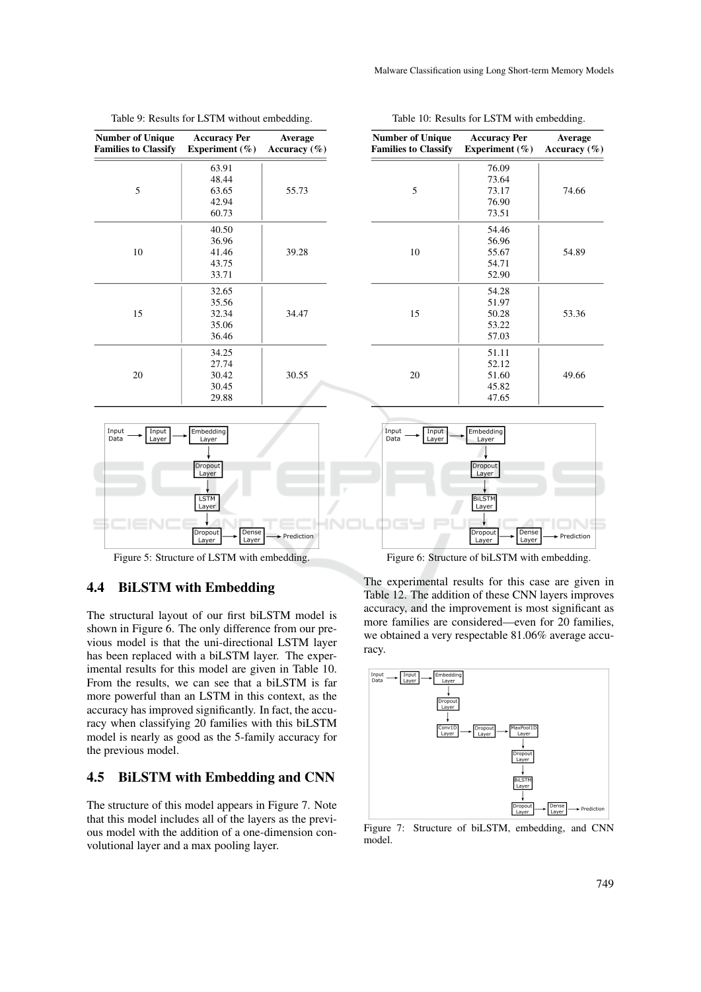| <b>Number of Unique</b><br><b>Families to Classify</b> | <b>Accuracy Per</b><br>Experiment $(\% )$ | Average<br>Accuracy $(\% )$ |
|--------------------------------------------------------|-------------------------------------------|-----------------------------|
|                                                        | 63.91                                     |                             |
|                                                        | 48.44                                     |                             |
| 5                                                      | 63.65                                     | 55.73                       |
|                                                        | 42.94                                     |                             |
|                                                        | 60.73                                     |                             |
|                                                        | 40.50                                     |                             |
|                                                        | 36.96                                     |                             |
| 10                                                     | 41.46                                     | 39.28                       |
|                                                        | 43.75                                     |                             |
|                                                        | 33.71                                     |                             |
|                                                        | 32.65                                     |                             |
|                                                        | 35.56                                     |                             |
| 15                                                     | 32.34                                     | 34.47                       |
|                                                        | 35.06                                     |                             |
|                                                        | 36.46                                     |                             |
|                                                        | 34.25                                     |                             |
|                                                        | 27.74                                     |                             |
| 20                                                     | 30.42                                     | 30.55                       |
|                                                        | 30.45                                     |                             |
|                                                        | 29.88                                     |                             |

Table 9: Results for LSTM without embedding.



Figure 5: Structure of LSTM with embedding.

## 4.4 BiLSTM with Embedding

The structural layout of our first biLSTM model is shown in Figure 6. The only difference from our previous model is that the uni-directional LSTM layer has been replaced with a biLSTM layer. The experimental results for this model are given in Table 10. From the results, we can see that a biLSTM is far more powerful than an LSTM in this context, as the accuracy has improved significantly. In fact, the accuracy when classifying 20 families with this biLSTM model is nearly as good as the 5-family accuracy for the previous model.

#### 4.5 BiLSTM with Embedding and CNN

The structure of this model appears in Figure 7. Note that this model includes all of the layers as the previous model with the addition of a one-dimension convolutional layer and a max pooling layer.

| <b>Number of Unique</b><br><b>Families to Classify</b> | <b>Accuracy Per</b><br>Experiment $(\% )$ | <b>Average</b><br>Accuracy $(\% )$ |
|--------------------------------------------------------|-------------------------------------------|------------------------------------|
|                                                        | 76.09                                     |                                    |
|                                                        | 73.64                                     |                                    |
| 5                                                      | 73.17                                     | 74.66                              |
|                                                        | 76.90                                     |                                    |
|                                                        | 73.51                                     |                                    |
| 10                                                     | 54.46                                     |                                    |
|                                                        | 56.96                                     |                                    |
|                                                        | 55.67                                     | 54.89                              |
|                                                        | 54.71                                     |                                    |
|                                                        | 52.90                                     |                                    |
| 15                                                     | 54.28                                     |                                    |
|                                                        | 51.97                                     |                                    |
|                                                        | 50.28                                     | 53.36                              |
|                                                        | 53.22                                     |                                    |
|                                                        | 57.03                                     |                                    |
|                                                        | 51.11                                     |                                    |

Table 10: Results for LSTM with embedding.

Malware Classification using Long Short-term Memory Models



52.12 51.60 45.82 47.65

49.66

20

Figure 6: Structure of biLSTM with embedding.

The experimental results for this case are given in Table 12. The addition of these CNN layers improves accuracy, and the improvement is most significant as more families are considered—even for 20 families, we obtained a very respectable 81.06% average accuracy.



Figure 7: Structure of biLSTM, embedding, and CNN model.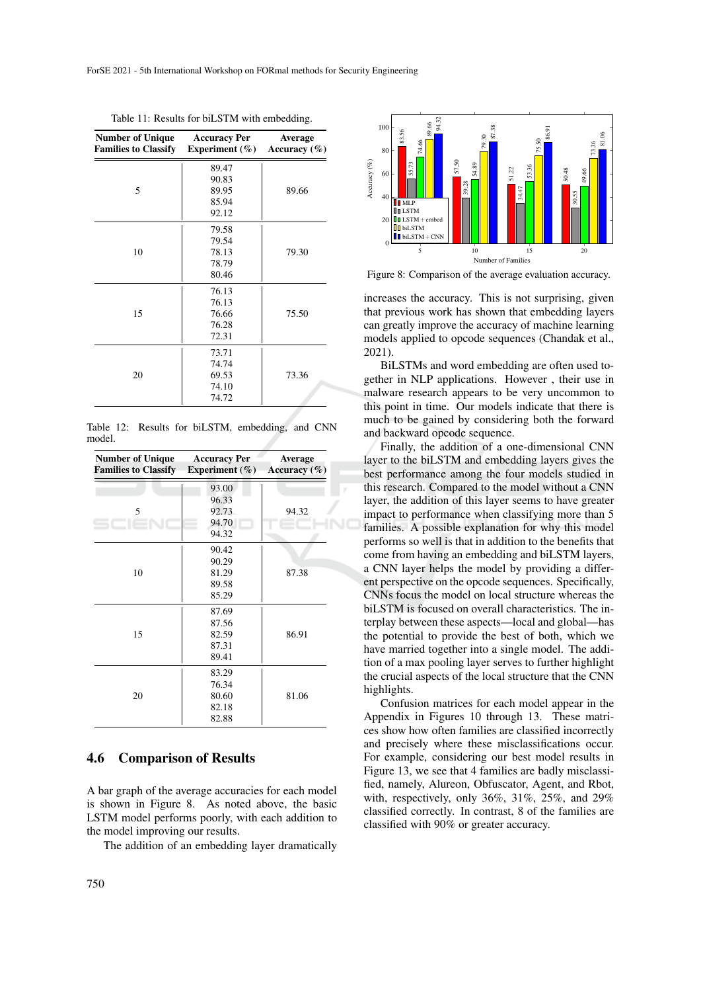| <b>Number of Unique</b><br><b>Families to Classify</b> | <b>Accuracy Per</b><br>Experiment $(\% )$ | Average<br>Accuracy $(\% )$ |
|--------------------------------------------------------|-------------------------------------------|-----------------------------|
| 5                                                      | 89.47                                     |                             |
|                                                        | 90.83                                     |                             |
|                                                        | 89.95                                     | 89.66                       |
|                                                        | 85.94                                     |                             |
|                                                        | 92.12                                     |                             |
| 10                                                     | 79.58                                     |                             |
|                                                        | 79.54                                     |                             |
|                                                        | 78.13                                     | 79.30                       |
|                                                        | 78.79                                     |                             |
|                                                        | 80.46                                     |                             |
| 15                                                     | 76.13                                     |                             |
|                                                        | 76.13                                     |                             |
|                                                        | 76.66                                     | 75.50                       |
|                                                        | 76.28                                     |                             |
|                                                        | 72.31                                     |                             |
| 20                                                     | 73.71                                     |                             |
|                                                        | 74.74                                     |                             |
|                                                        | 69.53                                     | 73.36                       |
|                                                        | 74.10                                     |                             |
|                                                        | 74.72                                     |                             |

Table 11: Results for biLSTM with embedding.

Table 12: Results for biLSTM, embedding, and CNN model.

| <b>Number of Unique</b><br><b>Families to Classify</b> | <b>Accuracy Per</b><br>Experiment $(\% )$ | <b>Average</b><br>Accuracy $(\% )$ |
|--------------------------------------------------------|-------------------------------------------|------------------------------------|
|                                                        | 93.00                                     |                                    |
|                                                        | 96.33                                     |                                    |
| 5                                                      | 92.73                                     | 94.32                              |
|                                                        | 94.70                                     |                                    |
|                                                        | 94.32                                     |                                    |
| 10                                                     | 90.42                                     |                                    |
|                                                        | 90.29                                     |                                    |
|                                                        | 81.29                                     | 87.38                              |
|                                                        | 89.58                                     |                                    |
|                                                        | 85.29                                     |                                    |
| 15                                                     | 87.69                                     |                                    |
|                                                        | 87.56                                     |                                    |
|                                                        | 82.59                                     | 86.91                              |
|                                                        | 87.31                                     |                                    |
|                                                        | 89.41                                     |                                    |
| 20                                                     | 83.29                                     |                                    |
|                                                        | 76.34                                     |                                    |
|                                                        | 80.60                                     | 81.06                              |
|                                                        | 82.18                                     |                                    |
|                                                        | 82.88                                     |                                    |

### 4.6 Comparison of Results

A bar graph of the average accuracies for each model is shown in Figure 8. As noted above, the basic LSTM model performs poorly, with each addition to the model improving our results.

The addition of an embedding layer dramatically



Figure 8: Comparison of the average evaluation accuracy.

increases the accuracy. This is not surprising, given that previous work has shown that embedding layers can greatly improve the accuracy of machine learning models applied to opcode sequences (Chandak et al., 2021).

BiLSTMs and word embedding are often used together in NLP applications. However , their use in malware research appears to be very uncommon to this point in time. Our models indicate that there is much to be gained by considering both the forward and backward opcode sequence.

Finally, the addition of a one-dimensional CNN layer to the biLSTM and embedding layers gives the best performance among the four models studied in this research. Compared to the model without a CNN layer, the addition of this layer seems to have greater impact to performance when classifying more than 5 families. A possible explanation for why this model performs so well is that in addition to the benefits that come from having an embedding and biLSTM layers, a CNN layer helps the model by providing a different perspective on the opcode sequences. Specifically, CNNs focus the model on local structure whereas the biLSTM is focused on overall characteristics. The interplay between these aspects—local and global—has the potential to provide the best of both, which we have married together into a single model. The addition of a max pooling layer serves to further highlight the crucial aspects of the local structure that the CNN highlights.

Confusion matrices for each model appear in the Appendix in Figures 10 through 13. These matrices show how often families are classified incorrectly and precisely where these misclassifications occur. For example, considering our best model results in Figure 13, we see that 4 families are badly misclassified, namely, Alureon, Obfuscator, Agent, and Rbot, with, respectively, only 36%, 31%, 25%, and 29% classified correctly. In contrast, 8 of the families are classified with 90% or greater accuracy.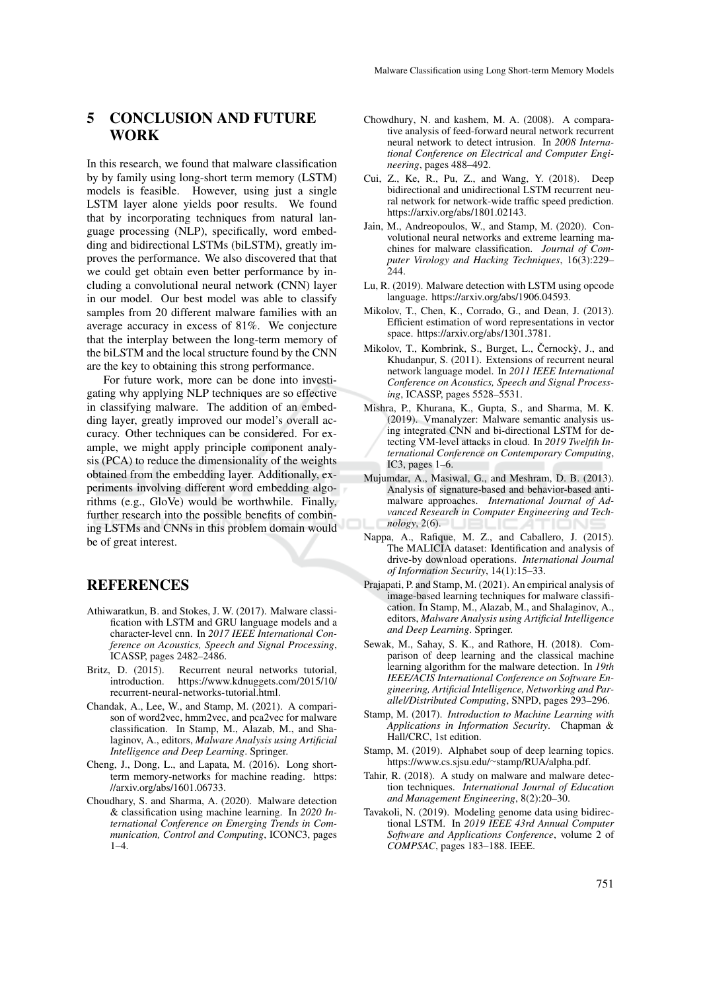# 5 CONCLUSION AND FUTURE **WORK**

In this research, we found that malware classification by by family using long-short term memory (LSTM) models is feasible. However, using just a single LSTM layer alone yields poor results. We found that by incorporating techniques from natural language processing (NLP), specifically, word embedding and bidirectional LSTMs (biLSTM), greatly improves the performance. We also discovered that that we could get obtain even better performance by including a convolutional neural network (CNN) layer in our model. Our best model was able to classify samples from 20 different malware families with an average accuracy in excess of 81%. We conjecture that the interplay between the long-term memory of the biLSTM and the local structure found by the CNN are the key to obtaining this strong performance.

For future work, more can be done into investigating why applying NLP techniques are so effective in classifying malware. The addition of an embedding layer, greatly improved our model's overall accuracy. Other techniques can be considered. For example, we might apply principle component analysis (PCA) to reduce the dimensionality of the weights obtained from the embedding layer. Additionally, experiments involving different word embedding algorithms (e.g., GloVe) would be worthwhile. Finally, further research into the possible benefits of combining LSTMs and CNNs in this problem domain would be of great interest.

## REFERENCES

- Athiwaratkun, B. and Stokes, J. W. (2017). Malware classification with LSTM and GRU language models and a character-level cnn. In *2017 IEEE International Conference on Acoustics, Speech and Signal Processing*, ICASSP, pages 2482–2486.
- Britz, D. (2015). Recurrent neural networks tutorial,<br>introduction. https://www.kdnuggets.com/2015/10/ https://www.kdnuggets.com/2015/10/ recurrent-neural-networks-tutorial.html.
- Chandak, A., Lee, W., and Stamp, M. (2021). A comparison of word2vec, hmm2vec, and pca2vec for malware classification. In Stamp, M., Alazab, M., and Shalaginov, A., editors, *Malware Analysis using Artificial Intelligence and Deep Learning*. Springer.
- Cheng, J., Dong, L., and Lapata, M. (2016). Long shortterm memory-networks for machine reading. https: //arxiv.org/abs/1601.06733.
- Choudhary, S. and Sharma, A. (2020). Malware detection & classification using machine learning. In *2020 International Conference on Emerging Trends in Communication, Control and Computing*, ICONC3, pages  $1-4.$
- Chowdhury, N. and kashem, M. A. (2008). A comparative analysis of feed-forward neural network recurrent neural network to detect intrusion. In *2008 International Conference on Electrical and Computer Engineering*, pages 488–492.
- Cui, Z., Ke, R., Pu, Z., and Wang, Y. (2018). Deep bidirectional and unidirectional LSTM recurrent neural network for network-wide traffic speed prediction. https://arxiv.org/abs/1801.02143.
- Jain, M., Andreopoulos, W., and Stamp, M. (2020). Convolutional neural networks and extreme learning machines for malware classification. *Journal of Computer Virology and Hacking Techniques*, 16(3):229– 244.
- Lu, R. (2019). Malware detection with LSTM using opcode language. https://arxiv.org/abs/1906.04593.
- Mikolov, T., Chen, K., Corrado, G., and Dean, J. (2013). Efficient estimation of word representations in vector space. https://arxiv.org/abs/1301.3781.
- Mikolov, T., Kombrink, S., Burget, L., Černockỳ, J., and Khudanpur, S. (2011). Extensions of recurrent neural network language model. In *2011 IEEE International Conference on Acoustics, Speech and Signal Processing*, ICASSP, pages 5528–5531.
- Mishra, P., Khurana, K., Gupta, S., and Sharma, M. K. (2019). Vmanalyzer: Malware semantic analysis using integrated CNN and bi-directional LSTM for detecting VM-level attacks in cloud. In *2019 Twelfth International Conference on Contemporary Computing*, IC3, pages 1–6.
- Mujumdar, A., Masiwal, G., and Meshram, D. B. (2013). Analysis of signature-based and behavior-based antimalware approaches. *International Journal of Advanced Research in Computer Engineering and Technology*, 2(6).
- Nappa, A., Rafique, M. Z., and Caballero, J. (2015). The MALICIA dataset: Identification and analysis of drive-by download operations. *International Journal of Information Security*, 14(1):15–33.
- Prajapati, P. and Stamp, M. (2021). An empirical analysis of image-based learning techniques for malware classification. In Stamp, M., Alazab, M., and Shalaginov, A., editors, *Malware Analysis using Artificial Intelligence and Deep Learning*. Springer.
- Sewak, M., Sahay, S. K., and Rathore, H. (2018). Comparison of deep learning and the classical machine learning algorithm for the malware detection. In *19th IEEE/ACIS International Conference on Software Engineering, Artificial Intelligence, Networking and Parallel/Distributed Computing*, SNPD, pages 293–296.
- Stamp, M. (2017). *Introduction to Machine Learning with Applications in Information Security*. Chapman & Hall/CRC, 1st edition.
- Stamp, M. (2019). Alphabet soup of deep learning topics. https://www.cs.sjsu.edu/∼stamp/RUA/alpha.pdf.
- Tahir, R. (2018). A study on malware and malware detection techniques. *International Journal of Education and Management Engineering*, 8(2):20–30.
- Tavakoli, N. (2019). Modeling genome data using bidirectional LSTM. In *2019 IEEE 43rd Annual Computer Software and Applications Conference*, volume 2 of *COMPSAC*, pages 183–188. IEEE.